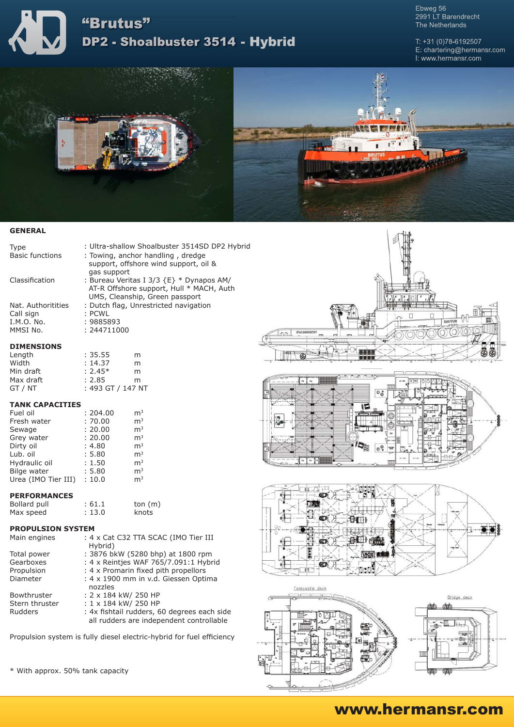

Ebweg 56<br>2991 LT Barendrecht The Netherlands

T:  $+31(0)78 - 6192507$ E: chartering@hermansr.com I: www.hermansr.com





## **GENERAL**

| <b>Type</b>            | : Ultra-shallow Shoalbuster 3514SD DP2 Hybrid |
|------------------------|-----------------------------------------------|
| <b>Basic functions</b> | : Towing, anchor handling, dredge             |
|                        | support, offshore wind support, oil &         |
|                        | gas support                                   |
| Classification         | : Bureau Veritas I 3/3 {E} * Dynapos AM/      |
|                        | AT-R Offshore support, Hull * MACH, Auth      |
|                        | UMS, Cleanship, Green passport                |
| Nat. Authoritities     | : Dutch flag, Unrestricted navigation         |
| Call sign              | : PCWL                                        |
| I.M.O. No.             | : 9885893                                     |
| MMSI No.               | : 244711000                                   |
| <b>DIMENSIONS</b>      |                                               |

#### **DIMENSIONS**

| Length    | : 35.55           | m |
|-----------|-------------------|---|
| Width     | : 14.37           | m |
| Min draft | $: 2.45*$         | m |
| Max draft | : 2.85            | m |
| GT / NT   | : 493 GT / 147 NT |   |

### **TANK CAPACITIES**

| : 204.00 | m <sup>3</sup> |
|----------|----------------|
| :70.00   | m <sup>3</sup> |
| : 20.00  | m <sup>3</sup> |
| : 20.00  | m <sup>3</sup> |
| : 4.80   | m <sup>3</sup> |
| : 5.80   | m <sup>3</sup> |
| : 1.50   | m <sup>3</sup> |
| : 5.80   | m <sup>3</sup> |
| : 10.0   | m <sup>3</sup> |
|          |                |

## **PERFORMANCES**

| Bollard pull | : 61.1 | ton $(m)$ |  |
|--------------|--------|-----------|--|
| Max speed    | : 13.0 | knots     |  |

### **PROPULSION SYSTEM**

| Main engines   | : 4 x Cat C32 TTA SCAC (IMO Tier III<br>Hybrid)                                         |
|----------------|-----------------------------------------------------------------------------------------|
| Total power    | : 3876 bkW (5280 bhp) at 1800 rpm                                                       |
| Gearboxes      | : 4 x Reintjes WAF 765/7.091:1 Hybrid                                                   |
| Propulsion     | : 4 x Promarin fixed pith propellors                                                    |
| Diameter       | : 4 x 1900 mm in v.d. Giessen Optima<br>nozzles                                         |
| Bowthruster    | : 2 x 184 kW/ 250 HP                                                                    |
| Stern thruster | : 1 x 184 kW/ 250 HP                                                                    |
| Rudders        | : 4x fishtail rudders, 60 degrees each side<br>all rudders are independent controllable |
|                |                                                                                         |

Propulsion system is fully diesel electric-hybrid for fuel efficiency

\* With approx. 50% tank capacity









# www.hermansr.com